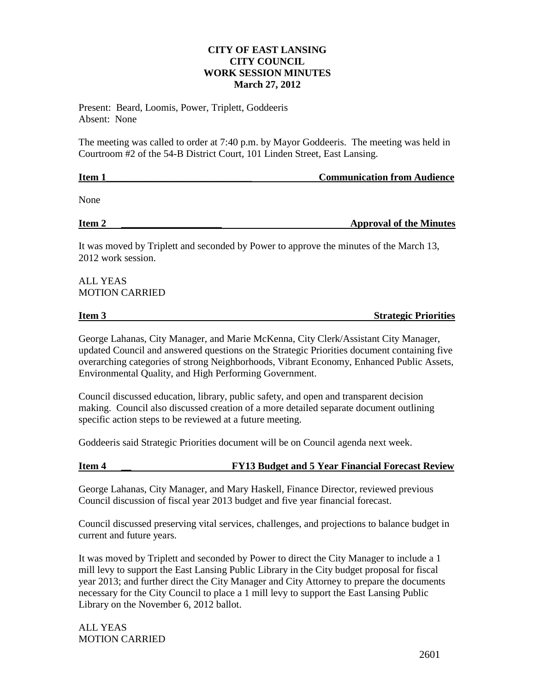#### **CITY OF EAST LANSING CITY COUNCIL WORK SESSION MINUTES March 27, 2012**

Present: Beard, Loomis, Power, Triplett, Goddeeris Absent: None

The meeting was called to order at 7:40 p.m. by Mayor Goddeeris. The meeting was held in Courtroom #2 of the 54-B District Court, 101 Linden Street, East Lansing.

| Item 1 | <b>Communication from Audience</b> |  |  |
|--------|------------------------------------|--|--|
|        |                                    |  |  |
| None   |                                    |  |  |

# **Item 2 a Approval of the Minutes**

It was moved by Triplett and seconded by Power to approve the minutes of the March 13, 2012 work session.

### ALL YEAS MOTION CARRIED

# **Item 3** Strategic Priorities

George Lahanas, City Manager, and Marie McKenna, City Clerk/Assistant City Manager, updated Council and answered questions on the Strategic Priorities document containing five overarching categories of strong Neighborhoods, Vibrant Economy, Enhanced Public Assets, Environmental Quality, and High Performing Government.

Council discussed education, library, public safety, and open and transparent decision making. Council also discussed creation of a more detailed separate document outlining specific action steps to be reviewed at a future meeting.

Goddeeris said Strategic Priorities document will be on Council agenda next week.

## **Item 4 12 Sudget and 5 Year Financial Forecast Review**

George Lahanas, City Manager, and Mary Haskell, Finance Director, reviewed previous Council discussion of fiscal year 2013 budget and five year financial forecast.

Council discussed preserving vital services, challenges, and projections to balance budget in current and future years.

It was moved by Triplett and seconded by Power to direct the City Manager to include a 1 mill levy to support the East Lansing Public Library in the City budget proposal for fiscal year 2013; and further direct the City Manager and City Attorney to prepare the documents necessary for the City Council to place a 1 mill levy to support the East Lansing Public Library on the November 6, 2012 ballot.

ALL YEAS MOTION CARRIED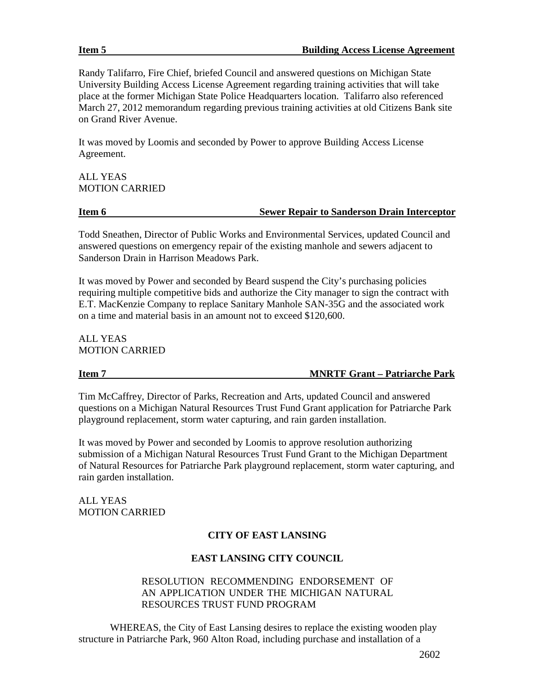Randy Talifarro, Fire Chief, briefed Council and answered questions on Michigan State University Building Access License Agreement regarding training activities that will take place at the former Michigan State Police Headquarters location. Talifarro also referenced March 27, 2012 memorandum regarding previous training activities at old Citizens Bank site on Grand River Avenue.

It was moved by Loomis and seconded by Power to approve Building Access License Agreement.

### ALL YEAS MOTION CARRIED

#### **Item 6 Sewer Repair to Sanderson Drain Interceptor**

Todd Sneathen, Director of Public Works and Environmental Services, updated Council and answered questions on emergency repair of the existing manhole and sewers adjacent to Sanderson Drain in Harrison Meadows Park.

It was moved by Power and seconded by Beard suspend the City's purchasing policies requiring multiple competitive bids and authorize the City manager to sign the contract with E.T. MacKenzie Company to replace Sanitary Manhole SAN-35G and the associated work on a time and material basis in an amount not to exceed \$120,600.

ALL YEAS MOTION CARRIED

**Item 7 MNRTF Grant – Patriarche Park**

Tim McCaffrey, Director of Parks, Recreation and Arts, updated Council and answered questions on a Michigan Natural Resources Trust Fund Grant application for Patriarche Park playground replacement, storm water capturing, and rain garden installation.

It was moved by Power and seconded by Loomis to approve resolution authorizing submission of a Michigan Natural Resources Trust Fund Grant to the Michigan Department of Natural Resources for Patriarche Park playground replacement, storm water capturing, and rain garden installation.

ALL YEAS MOTION CARRIED

### **CITY OF EAST LANSING**

### **EAST LANSING CITY COUNCIL**

### RESOLUTION RECOMMENDING ENDORSEMENT OF AN APPLICATION UNDER THE MICHIGAN NATURAL RESOURCES TRUST FUND PROGRAM

WHEREAS, the City of East Lansing desires to replace the existing wooden play structure in Patriarche Park, 960 Alton Road, including purchase and installation of a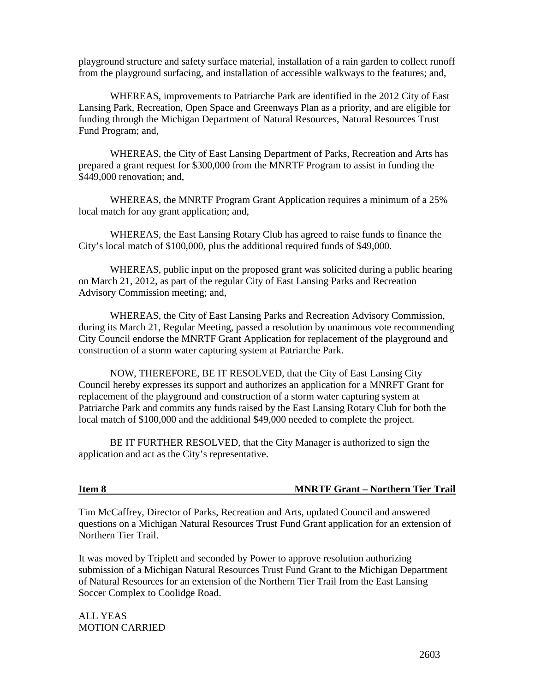playground structure and safety surface material, installation of a rain garden to collect runoff from the playground surfacing, and installation of accessible walkways to the features; and,

WHEREAS, improvements to Patriarche Park are identified in the 2012 City of East Lansing Park, Recreation, Open Space and Greenways Plan as a priority, and are eligible for funding through the Michigan Department of Natural Resources, Natural Resources Trust Fund Program; and,

WHEREAS, the City of East Lansing Department of Parks, Recreation and Arts has prepared a grant request for \$300,000 from the MNRTF Program to assist in funding the \$449,000 renovation; and,

WHEREAS, the MNRTF Program Grant Application requires a minimum of a 25% local match for any grant application; and,

WHEREAS, the East Lansing Rotary Club has agreed to raise funds to finance the City's local match of \$100,000, plus the additional required funds of \$49,000.

WHEREAS, public input on the proposed grant was solicited during a public hearing on March 21, 2012, as part of the regular City of East Lansing Parks and Recreation Advisory Commission meeting; and,

WHEREAS, the City of East Lansing Parks and Recreation Advisory Commission, during its March 21, Regular Meeting, passed a resolution by unanimous vote recommending City Council endorse the MNRTF Grant Application for replacement of the playground and construction of a storm water capturing system at Patriarche Park.

NOW, THEREFORE, BE IT RESOLVED, that the City of East Lansing City Council hereby expresses its support and authorizes an application for a MNRFT Grant for replacement of the playground and construction of a storm water capturing system at Patriarche Park and commits any funds raised by the East Lansing Rotary Club for both the local match of \$100,000 and the additional \$49,000 needed to complete the project.

BE IT FURTHER RESOLVED, that the City Manager is authorized to sign the application and act as the City's representative.

#### **Item 8 MNRTF Grant – Northern Tier Trail**

Tim McCaffrey, Director of Parks, Recreation and Arts, updated Council and answered questions on a Michigan Natural Resources Trust Fund Grant application for an extension of Northern Tier Trail.

It was moved by Triplett and seconded by Power to approve resolution authorizing submission of a Michigan Natural Resources Trust Fund Grant to the Michigan Department of Natural Resources for an extension of the Northern Tier Trail from the East Lansing Soccer Complex to Coolidge Road.

ALL YEAS MOTION CARRIED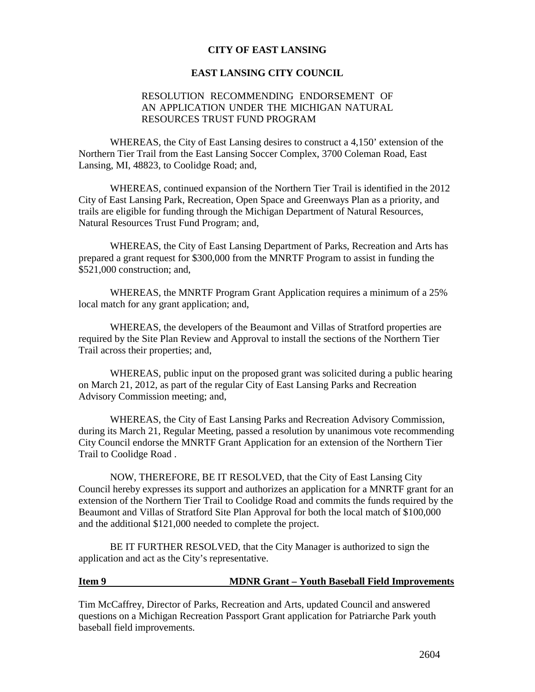#### **CITY OF EAST LANSING**

#### **EAST LANSING CITY COUNCIL**

### RESOLUTION RECOMMENDING ENDORSEMENT OF AN APPLICATION UNDER THE MICHIGAN NATURAL RESOURCES TRUST FUND PROGRAM

WHEREAS, the City of East Lansing desires to construct a 4,150' extension of the Northern Tier Trail from the East Lansing Soccer Complex, 3700 Coleman Road, East Lansing, MI, 48823, to Coolidge Road; and,

WHEREAS, continued expansion of the Northern Tier Trail is identified in the 2012 City of East Lansing Park, Recreation, Open Space and Greenways Plan as a priority, and trails are eligible for funding through the Michigan Department of Natural Resources, Natural Resources Trust Fund Program; and,

WHEREAS, the City of East Lansing Department of Parks, Recreation and Arts has prepared a grant request for \$300,000 from the MNRTF Program to assist in funding the \$521,000 construction; and,

WHEREAS, the MNRTF Program Grant Application requires a minimum of a 25% local match for any grant application; and,

WHEREAS, the developers of the Beaumont and Villas of Stratford properties are required by the Site Plan Review and Approval to install the sections of the Northern Tier Trail across their properties; and,

WHEREAS, public input on the proposed grant was solicited during a public hearing on March 21, 2012, as part of the regular City of East Lansing Parks and Recreation Advisory Commission meeting; and,

WHEREAS, the City of East Lansing Parks and Recreation Advisory Commission, during its March 21, Regular Meeting, passed a resolution by unanimous vote recommending City Council endorse the MNRTF Grant Application for an extension of the Northern Tier Trail to Coolidge Road .

NOW, THEREFORE, BE IT RESOLVED, that the City of East Lansing City Council hereby expresses its support and authorizes an application for a MNRTF grant for an extension of the Northern Tier Trail to Coolidge Road and commits the funds required by the Beaumont and Villas of Stratford Site Plan Approval for both the local match of \$100,000 and the additional \$121,000 needed to complete the project.

BE IT FURTHER RESOLVED, that the City Manager is authorized to sign the application and act as the City's representative.

#### **Item 9 MDNR Grant – Youth Baseball Field Improvements**

Tim McCaffrey, Director of Parks, Recreation and Arts, updated Council and answered questions on a Michigan Recreation Passport Grant application for Patriarche Park youth baseball field improvements.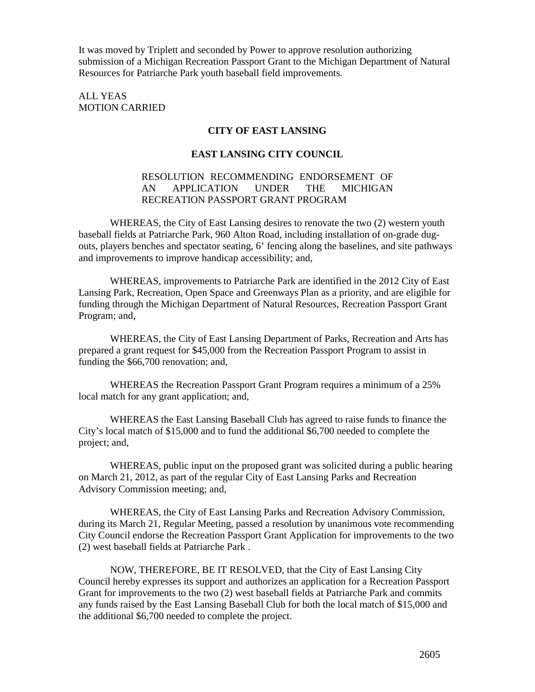It was moved by Triplett and seconded by Power to approve resolution authorizing submission of a Michigan Recreation Passport Grant to the Michigan Department of Natural Resources for Patriarche Park youth baseball field improvements.

ALL YEAS MOTION CARRIED

### **CITY OF EAST LANSING**

### **EAST LANSING CITY COUNCIL**

#### RESOLUTION RECOMMENDING ENDORSEMENT OF AN APPLICATION UNDER THE MICHIGAN RECREATION PASSPORT GRANT PROGRAM

WHEREAS, the City of East Lansing desires to renovate the two (2) western youth baseball fields at Patriarche Park, 960 Alton Road, including installation of on-grade dugouts, players benches and spectator seating, 6' fencing along the baselines, and site pathways and improvements to improve handicap accessibility; and,

WHEREAS, improvements to Patriarche Park are identified in the 2012 City of East Lansing Park, Recreation, Open Space and Greenways Plan as a priority, and are eligible for funding through the Michigan Department of Natural Resources, Recreation Passport Grant Program; and,

WHEREAS, the City of East Lansing Department of Parks, Recreation and Arts has prepared a grant request for \$45,000 from the Recreation Passport Program to assist in funding the \$66,700 renovation; and,

WHEREAS the Recreation Passport Grant Program requires a minimum of a 25% local match for any grant application; and,

WHEREAS the East Lansing Baseball Club has agreed to raise funds to finance the City's local match of \$15,000 and to fund the additional \$6,700 needed to complete the project; and,

WHEREAS, public input on the proposed grant was solicited during a public hearing on March 21, 2012, as part of the regular City of East Lansing Parks and Recreation Advisory Commission meeting; and,

WHEREAS, the City of East Lansing Parks and Recreation Advisory Commission, during its March 21, Regular Meeting, passed a resolution by unanimous vote recommending City Council endorse the Recreation Passport Grant Application for improvements to the two (2) west baseball fields at Patriarche Park .

NOW, THEREFORE, BE IT RESOLVED, that the City of East Lansing City Council hereby expresses its support and authorizes an application for a Recreation Passport Grant for improvements to the two (2) west baseball fields at Patriarche Park and commits any funds raised by the East Lansing Baseball Club for both the local match of \$15,000 and the additional \$6,700 needed to complete the project.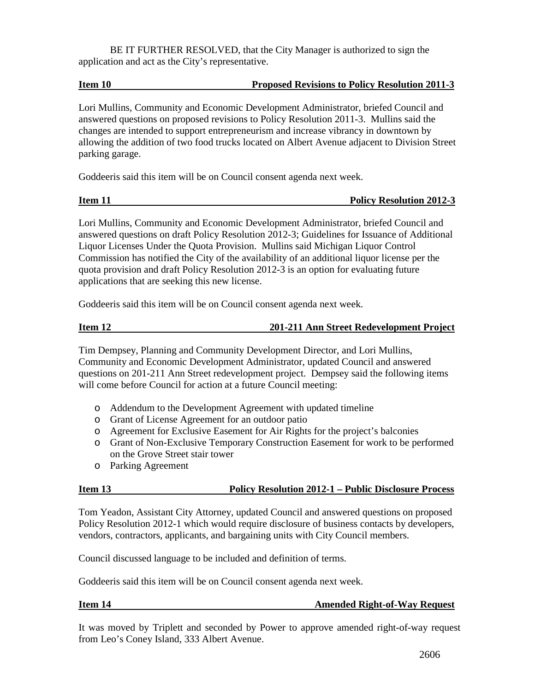BE IT FURTHER RESOLVED, that the City Manager is authorized to sign the application and act as the City's representative.

#### **Item 10 Proposed Revisions to Policy Resolution 2011-3**

Lori Mullins, Community and Economic Development Administrator, briefed Council and answered questions on proposed revisions to Policy Resolution 2011-3. Mullins said the changes are intended to support entrepreneurism and increase vibrancy in downtown by allowing the addition of two food trucks located on Albert Avenue adjacent to Division Street parking garage.

Goddeeris said this item will be on Council consent agenda next week.

| η<br>Γι<br>μ<br>П<br>۱. |  |
|-------------------------|--|
|                         |  |

**Policy Resolution 2012-3** 

Lori Mullins, Community and Economic Development Administrator, briefed Council and answered questions on draft Policy Resolution 2012-3; Guidelines for Issuance of Additional Liquor Licenses Under the Quota Provision. Mullins said Michigan Liquor Control Commission has notified the City of the availability of an additional liquor license per the quota provision and draft Policy Resolution 2012-3 is an option for evaluating future applications that are seeking this new license.

Goddeeris said this item will be on Council consent agenda next week.

### **Item 12 201-211 Ann Street Redevelopment Project**

Tim Dempsey, Planning and Community Development Director, and Lori Mullins, Community and Economic Development Administrator, updated Council and answered questions on 201-211 Ann Street redevelopment project. Dempsey said the following items will come before Council for action at a future Council meeting:

- o Addendum to the Development Agreement with updated timeline
- o Grant of License Agreement for an outdoor patio
- o Agreement for Exclusive Easement for Air Rights for the project's balconies
- o Grant of Non-Exclusive Temporary Construction Easement for work to be performed on the Grove Street stair tower
- o Parking Agreement

### **Item 13 Policy Resolution 2012-1 – Public Disclosure Process**

Tom Yeadon, Assistant City Attorney, updated Council and answered questions on proposed Policy Resolution 2012-1 which would require disclosure of business contacts by developers, vendors, contractors, applicants, and bargaining units with City Council members.

Council discussed language to be included and definition of terms.

Goddeeris said this item will be on Council consent agenda next week.

#### **Item 14 Amended Right-of-Way Request**

It was moved by Triplett and seconded by Power to approve amended right-of-way request from Leo's Coney Island, 333 Albert Avenue.